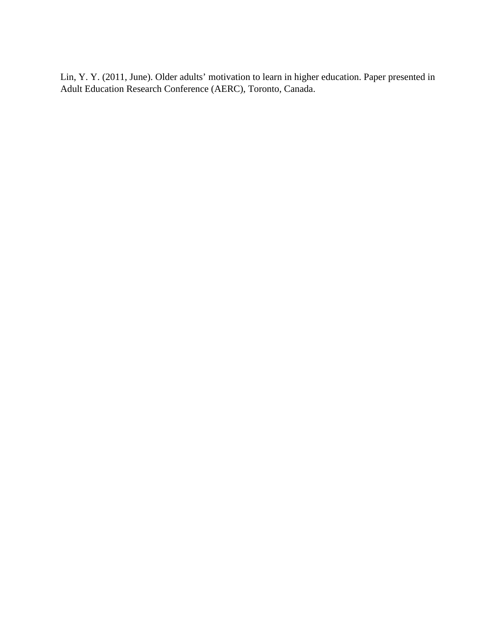Lin, Y. Y. (2011, June). Older adults' motivation to learn in higher education. Paper presented in Adult Education Research Conference (AERC), Toronto, Canada.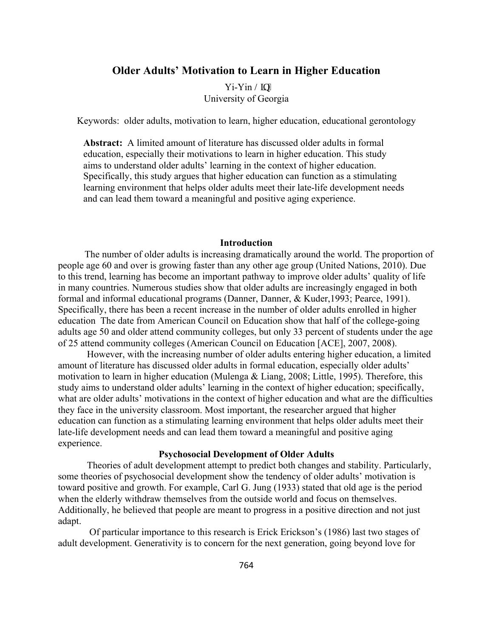# **Older Adults' Motivation to Learn in Higher Education**

Yi-Yin Nkp" University of Georgia

Keywords: older adults, motivation to learn, higher education, educational gerontology

**Abstract:** A limited amount of literature has discussed older adults in formal education, especially their motivations to learn in higher education. This study aims to understand older adults' learning in the context of higher education. Specifically, this study argues that higher education can function as a stimulating learning environment that helps older adults meet their late-life development needs and can lead them toward a meaningful and positive aging experience.

#### **Introduction**

 The number of older adults is increasing dramatically around the world. The proportion of people age 60 and over is growing faster than any other age group (United Nations, 2010). Due to this trend, learning has become an important pathway to improve older adults' quality of life in many countries. Numerous studies show that older adults are increasingly engaged in both formal and informal educational programs (Danner, Danner, & Kuder,1993; Pearce, 1991). Specifically, there has been a recent increase in the number of older adults enrolled in higher education The date from American Council on Education show that half of the college-going adults age 50 and older attend community colleges, but only 33 percent of students under the age of 25 attend community colleges (American Council on Education [ACE], 2007, 2008).

However, with the increasing number of older adults entering higher education, a limited amount of literature has discussed older adults in formal education, especially older adults' motivation to learn in higher education (Mulenga & Liang, 2008; Little, 1995). Therefore, this study aims to understand older adults' learning in the context of higher education; specifically, what are older adults' motivations in the context of higher education and what are the difficulties they face in the university classroom. Most important, the researcher argued that higher education can function as a stimulating learning environment that helps older adults meet their late-life development needs and can lead them toward a meaningful and positive aging experience.

## **Psychosocial Development of Older Adults**

Theories of adult development attempt to predict both changes and stability. Particularly, some theories of psychosocial development show the tendency of older adults' motivation is toward positive and growth. For example, Carl G. Jung (1933) stated that old age is the period when the elderly withdraw themselves from the outside world and focus on themselves. Additionally, he believed that people are meant to progress in a positive direction and not just adapt.

Of particular importance to this research is Erick Erickson's (1986) last two stages of adult development. Generativity is to concern for the next generation, going beyond love for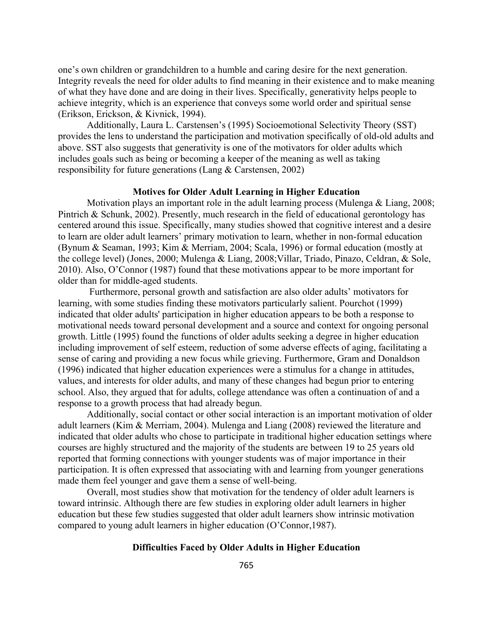one's own children or grandchildren to a humble and caring desire for the next generation. Integrity reveals the need for older adults to find meaning in their existence and to make meaning of what they have done and are doing in their lives. Specifically, generativity helps people to achieve integrity, which is an experience that conveys some world order and spiritual sense (Erikson, Erickson, & Kivnick, 1994).

Additionally, Laura L. Carstensen's (1995) Socioemotional Selectivity Theory (SST) provides the lens to understand the participation and motivation specifically of old-old adults and above. SST also suggests that generativity is one of the motivators for older adults which includes goals such as being or becoming a keeper of the meaning as well as taking responsibility for future generations (Lang & Carstensen, 2002)

## **Motives for Older Adult Learning in Higher Education**

Motivation plays an important role in the adult learning process (Mulenga & Liang, 2008; Pintrich & Schunk, 2002). Presently, much research in the field of educational gerontology has centered around this issue. Specifically, many studies showed that cognitive interest and a desire to learn are older adult learners' primary motivation to learn, whether in non-formal education (Bynum & Seaman, 1993; Kim & Merriam, 2004; Scala, 1996) or formal education (mostly at the college level) (Jones, 2000; Mulenga & Liang, 2008;Villar, Triado, Pinazo, Celdran, & Sole, 2010). Also, O'Connor (1987) found that these motivations appear to be more important for older than for middle-aged students.

 Furthermore, personal growth and satisfaction are also older adults' motivators for learning, with some studies finding these motivators particularly salient. Pourchot (1999) indicated that older adults' participation in higher education appears to be both a response to motivational needs toward personal development and a source and context for ongoing personal growth. Little (1995) found the functions of older adults seeking a degree in higher education including improvement of self esteem, reduction of some adverse effects of aging, facilitating a sense of caring and providing a new focus while grieving. Furthermore, Gram and Donaldson (1996) indicated that higher education experiences were a stimulus for a change in attitudes, values, and interests for older adults, and many of these changes had begun prior to entering school. Also, they argued that for adults, college attendance was often a continuation of and a response to a growth process that had already begun.

Additionally, social contact or other social interaction is an important motivation of older adult learners (Kim & Merriam, 2004). Mulenga and Liang (2008) reviewed the literature and indicated that older adults who chose to participate in traditional higher education settings where courses are highly structured and the majority of the students are between 19 to 25 years old reported that forming connections with younger students was of major importance in their participation. It is often expressed that associating with and learning from younger generations made them feel younger and gave them a sense of well-being.

Overall, most studies show that motivation for the tendency of older adult learners is toward intrinsic. Although there are few studies in exploring older adult learners in higher education but these few studies suggested that older adult learners show intrinsic motivation compared to young adult learners in higher education (O'Connor,1987).

## **Difficulties Faced by Older Adults in Higher Education**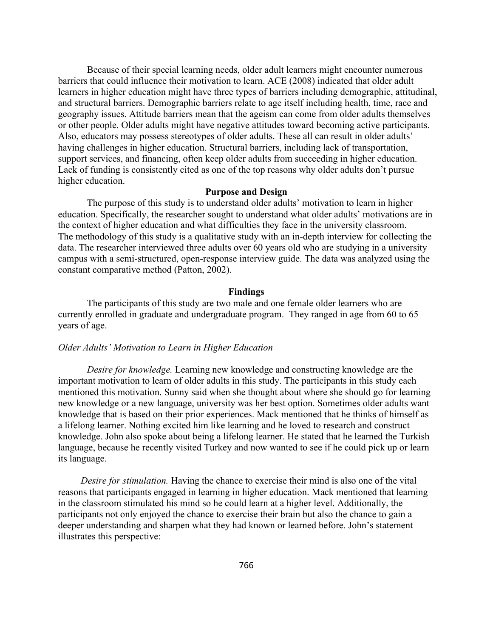Because of their special learning needs, older adult learners might encounter numerous barriers that could influence their motivation to learn. ACE (2008) indicated that older adult learners in higher education might have three types of barriers including demographic, attitudinal, and structural barriers. Demographic barriers relate to age itself including health, time, race and geography issues. Attitude barriers mean that the ageism can come from older adults themselves or other people. Older adults might have negative attitudes toward becoming active participants. Also, educators may possess stereotypes of older adults. These all can result in older adults' having challenges in higher education. Structural barriers, including lack of transportation, support services, and financing, often keep older adults from succeeding in higher education. Lack of funding is consistently cited as one of the top reasons why older adults don't pursue higher education.

## **Purpose and Design**

The purpose of this study is to understand older adults' motivation to learn in higher education. Specifically, the researcher sought to understand what older adults' motivations are in the context of higher education and what difficulties they face in the university classroom. The methodology of this study is a qualitative study with an in-depth interview for collecting the data. The researcher interviewed three adults over 60 years old who are studying in a university campus with a semi-structured, open-response interview guide. The data was analyzed using the constant comparative method (Patton, 2002).

### **Findings**

The participants of this study are two male and one female older learners who are currently enrolled in graduate and undergraduate program. They ranged in age from 60 to 65 years of age.

#### *Older Adults' Motivation to Learn in Higher Education*

*Desire for knowledge.* Learning new knowledge and constructing knowledge are the important motivation to learn of older adults in this study. The participants in this study each mentioned this motivation. Sunny said when she thought about where she should go for learning new knowledge or a new language, university was her best option. Sometimes older adults want knowledge that is based on their prior experiences. Mack mentioned that he thinks of himself as a lifelong learner. Nothing excited him like learning and he loved to research and construct knowledge. John also spoke about being a lifelong learner. He stated that he learned the Turkish language, because he recently visited Turkey and now wanted to see if he could pick up or learn its language.

*Desire for stimulation.* Having the chance to exercise their mind is also one of the vital reasons that participants engaged in learning in higher education. Mack mentioned that learning in the classroom stimulated his mind so he could learn at a higher level. Additionally, the participants not only enjoyed the chance to exercise their brain but also the chance to gain a deeper understanding and sharpen what they had known or learned before. John's statement illustrates this perspective: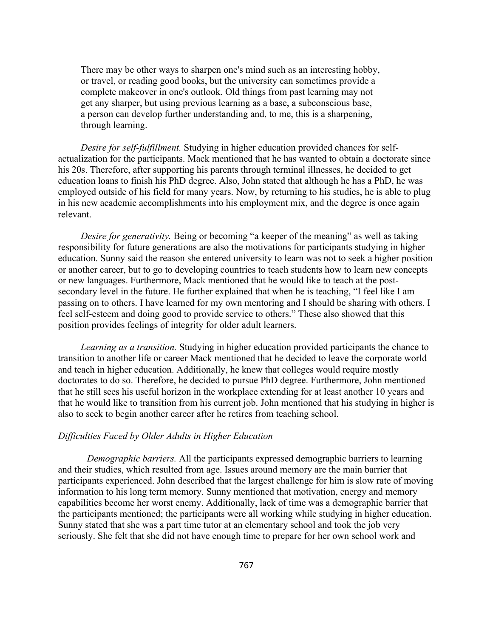There may be other ways to sharpen one's mind such as an interesting hobby, or travel, or reading good books, but the university can sometimes provide a complete makeover in one's outlook. Old things from past learning may not get any sharper, but using previous learning as a base, a subconscious base, a person can develop further understanding and, to me, this is a sharpening, through learning.

*Desire for self-fulfillment.* Studying in higher education provided chances for selfactualization for the participants. Mack mentioned that he has wanted to obtain a doctorate since his 20s. Therefore, after supporting his parents through terminal illnesses, he decided to get education loans to finish his PhD degree. Also, John stated that although he has a PhD, he was employed outside of his field for many years. Now, by returning to his studies, he is able to plug in his new academic accomplishments into his employment mix, and the degree is once again relevant.

*Desire for generativity.* Being or becoming "a keeper of the meaning" as well as taking responsibility for future generations are also the motivations for participants studying in higher education. Sunny said the reason she entered university to learn was not to seek a higher position or another career, but to go to developing countries to teach students how to learn new concepts or new languages. Furthermore, Mack mentioned that he would like to teach at the postsecondary level in the future. He further explained that when he is teaching, "I feel like I am passing on to others. I have learned for my own mentoring and I should be sharing with others. I feel self-esteem and doing good to provide service to others." These also showed that this position provides feelings of integrity for older adult learners.

*Learning as a transition.* Studying in higher education provided participants the chance to transition to another life or career Mack mentioned that he decided to leave the corporate world and teach in higher education. Additionally, he knew that colleges would require mostly doctorates to do so. Therefore, he decided to pursue PhD degree. Furthermore, John mentioned that he still sees his useful horizon in the workplace extending for at least another 10 years and that he would like to transition from his current job. John mentioned that his studying in higher is also to seek to begin another career after he retires from teaching school.

## *Difficulties Faced by Older Adults in Higher Education*

*Demographic barriers.* All the participants expressed demographic barriers to learning and their studies, which resulted from age. Issues around memory are the main barrier that participants experienced. John described that the largest challenge for him is slow rate of moving information to his long term memory. Sunny mentioned that motivation, energy and memory capabilities become her worst enemy. Additionally, lack of time was a demographic barrier that the participants mentioned; the participants were all working while studying in higher education. Sunny stated that she was a part time tutor at an elementary school and took the job very seriously. She felt that she did not have enough time to prepare for her own school work and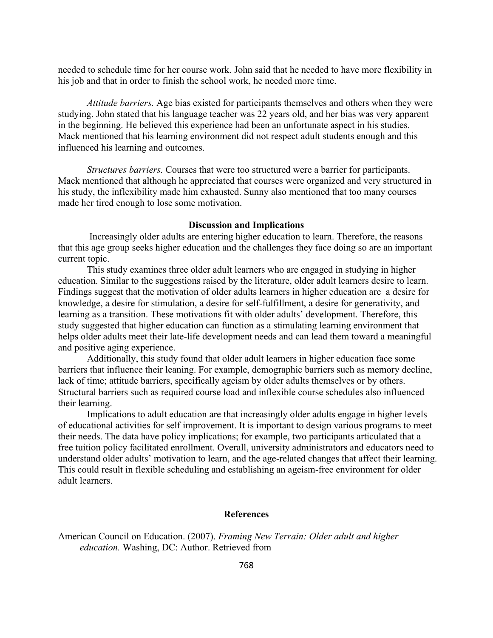needed to schedule time for her course work. John said that he needed to have more flexibility in his job and that in order to finish the school work, he needed more time.

*Attitude barriers.* Age bias existed for participants themselves and others when they were studying. John stated that his language teacher was 22 years old, and her bias was very apparent in the beginning. He believed this experience had been an unfortunate aspect in his studies. Mack mentioned that his learning environment did not respect adult students enough and this influenced his learning and outcomes.

*Structures barriers.* Courses that were too structured were a barrier for participants. Mack mentioned that although he appreciated that courses were organized and very structured in his study, the inflexibility made him exhausted. Sunny also mentioned that too many courses made her tired enough to lose some motivation.

## **Discussion and Implications**

 Increasingly older adults are entering higher education to learn. Therefore, the reasons that this age group seeks higher education and the challenges they face doing so are an important current topic.

This study examines three older adult learners who are engaged in studying in higher education. Similar to the suggestions raised by the literature, older adult learners desire to learn. Findings suggest that the motivation of older adults learners in higher education are a desire for knowledge, a desire for stimulation, a desire for self-fulfillment, a desire for generativity, and learning as a transition. These motivations fit with older adults' development. Therefore, this study suggested that higher education can function as a stimulating learning environment that helps older adults meet their late-life development needs and can lead them toward a meaningful and positive aging experience.

 Additionally, this study found that older adult learners in higher education face some barriers that influence their leaning. For example, demographic barriers such as memory decline, lack of time; attitude barriers, specifically ageism by older adults themselves or by others. Structural barriers such as required course load and inflexible course schedules also influenced their learning.

Implications to adult education are that increasingly older adults engage in higher levels of educational activities for self improvement. It is important to design various programs to meet their needs. The data have policy implications; for example, two participants articulated that a free tuition policy facilitated enrollment. Overall, university administrators and educators need to understand older adults' motivation to learn, and the age-related changes that affect their learning. This could result in flexible scheduling and establishing an ageism-free environment for older adult learners.

### **References**

American Council on Education. (2007). *Framing New Terrain: Older adult and higher education.* Washing, DC: Author. Retrieved from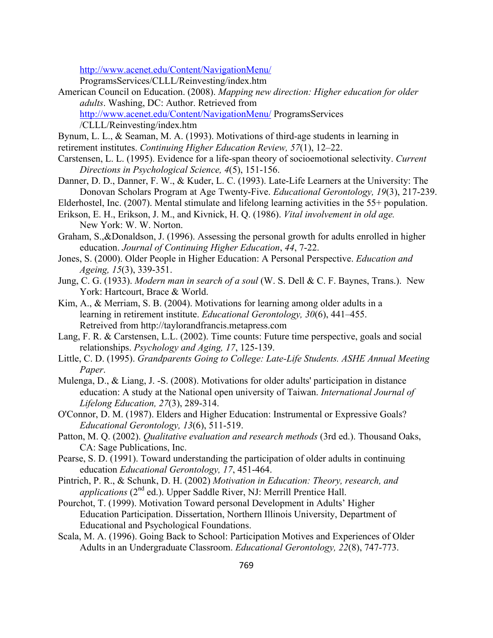http://www.acenet.edu/Content/NavigationMenu/

ProgramsServices/CLLL/Reinvesting/index.htm

American Council on Education. (2008). *Mapping new direction: Higher education for older adults*. Washing, DC: Author. Retrieved from http://www.acenet.edu/Content/NavigationMenu/ ProgramsServices

/CLLL/Reinvesting/index.htm

- Bynum, L. L., & Seaman, M. A. (1993). Motivations of third-age students in learning in retirement institutes. *Continuing Higher Education Review, 57*(1), 12–22.
- Carstensen, L. L. (1995). Evidence for a life-span theory of socioemotional selectivity. *Current Directions in Psychological Science, 4*(5), 151-156.
- Danner, D. D., Danner, F. W., & Kuder, L. C. (1993). Late-Life Learners at the University: The Donovan Scholars Program at Age Twenty-Five. *Educational Gerontology, 19*(3), 217-239.
- Elderhostel, Inc. (2007). Mental stimulate and lifelong learning activities in the 55+ population.
- Erikson, E. H., Erikson, J. M., and Kivnick, H. Q. (1986). *Vital involvement in old age.*  New York: W. W. Norton.
- Graham, S.,&Donaldson, J. (1996). Assessing the personal growth for adults enrolled in higher education. *Journal of Continuing Higher Education*, *44*, 7-22.
- Jones, S. (2000). Older People in Higher Education: A Personal Perspective. *Education and Ageing, 15*(3), 339-351.
- Jung, C. G. (1933). *Modern man in search of a soul* (W. S. Dell & C. F. Baynes, Trans.). New York: Hartcourt, Brace & World.
- Kim, A., & Merriam, S. B. (2004). Motivations for learning among older adults in a learning in retirement institute. *Educational Gerontology, 30*(6), 441–455. Retreived from http://taylorandfrancis.metapress.com
- Lang, F. R. & Carstensen, L.L. (2002). Time counts: Future time perspective, goals and social relationships. *Psychology and Aging, 17*, 125-139.
- Little, C. D. (1995). *Grandparents Going to College: Late-Life Students. ASHE Annual Meeting Paper*.
- Mulenga, D., & Liang, J. -S. (2008). Motivations for older adults' participation in distance education: A study at the National open university of Taiwan. *International Journal of Lifelong Education, 27*(3), 289-314.
- O'Connor, D. M. (1987). Elders and Higher Education: Instrumental or Expressive Goals? *Educational Gerontology, 13*(6), 511-519.
- Patton, M. Q. (2002). *Qualitative evaluation and research methods* (3rd ed.). Thousand Oaks, CA: Sage Publications, Inc.
- Pearse, S. D. (1991). Toward understanding the participation of older adults in continuing education *Educational Gerontology, 17*, 451-464.
- Pintrich, P. R., & Schunk, D. H. (2002) *Motivation in Education: Theory, research, and applications* (2<sup>nd</sup> ed.). Upper Saddle River, NJ: Merrill Prentice Hall.
- Pourchot, T. (1999). Motivation Toward personal Development in Adults' Higher Education Participation. Dissertation, Northern Illinois University, Department of Educational and Psychological Foundations.
- Scala, M. A. (1996). Going Back to School: Participation Motives and Experiences of Older Adults in an Undergraduate Classroom. *Educational Gerontology, 22*(8), 747-773.